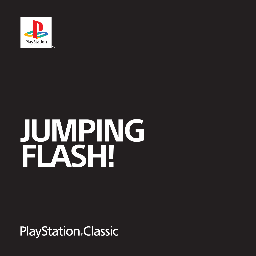

# **JUMPING FLASH!**

**PlayStation**. Classic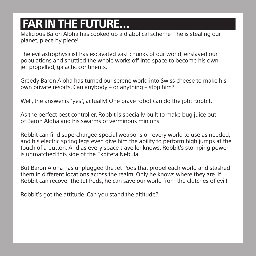# **FAR IN THE FUTURE…**

Malicious Baron Aloha has cooked up a diabolical scheme – he is stealing our planet, piece by piece!

The evil astrophysicist has excavated vast chunks of our world, enslaved our populations and shuttled the whole works off into space to become his own jet-propelled, galactic continents.

Greedy Baron Aloha has turned our serene world into Swiss cheese to make his own private resorts. Can anybody – or anything – stop him?

Well, the answer is "yes", actually! One braye robot can do the job: Robbit.

As the perfect pest controller, Robbit is specially built to make bug juice out of Baron Aloha and his swarms of verminous minions.

Robbit can find supercharged special weapons on every world to use as needed, and his electric spring legs even give him the ability to perform high jumps at the touch of a button. And as every space traveller knows, Robbit's stomping power is unmatched this side of the Ekpiteta Nebula.

But Baron Aloha has unplugged the Jet Pods that propel each world and stashed them in different locations across the realm. Only he knows where they are. If Robbit can recover the Jet Pods, he can save our world from the clutches of evil!

Robbit's got the attitude. Can you stand the altitude?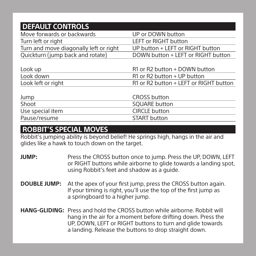| <b>DEFAULT CONTROLS</b>                |                                        |  |
|----------------------------------------|----------------------------------------|--|
| Move forwards or backwards             | UP or DOWN button                      |  |
| Turn left or right                     | <b>LEFT or RIGHT button</b>            |  |
| Turn and move diagonally left or right | UP button + LEFT or RIGHT button       |  |
| Quickturn (jump back and rotate)       | DOWN button + LEFT or RIGHT button     |  |
| Look up                                | R1 or R2 button + DOWN button          |  |
| Look down                              | R1 or R2 button + UP button            |  |
| Look left or right                     | R1 or R2 button + LEFT or RIGHT button |  |
| Jump                                   | <b>CROSS button</b>                    |  |
| Shoot                                  | <b>SQUARE button</b>                   |  |
| Use special item                       | <b>CIRCLE</b> button                   |  |
| Pause/resume                           | <b>START</b> button                    |  |

# **ROBBIT'S SPECIAL MOVES**

Robbit's jumping ability is beyond belief! He springs high, hangs in the air and glides like a hawk to touch down on the target.

- **JUMP:** Press the CROSS button once to jump. Press the UP, DOWN, LEFT or RIGHT buttons while airborne to glide towards a landing spot, using Robbit's feet and shadow as a guide.
- **DOUBLE JUMP:** At the apex of your first jump, press the CROSS button again. If your timing is right, you'll use the top of the first jump as a springboard to a higher jump.
- **HANG-GLIDING:** Press and hold the CROSS button while airborne. Robbit will hang in the air for a moment before drifting down. Press the UP, DOWN, LEFT or RIGHT buttons to turn and glide towards a landing. Release the buttons to drop straight down.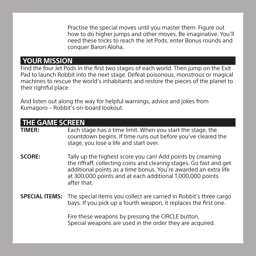Practise the special moves until you master them. Figure out how to do higher jumps and other moves. Be imaginative. You'll need these tricks to reach the Jet Pods, enter Bonus rounds and conquer Baron Aloha.

## **YOUR MISSION**

Find the four Jet Pods in the first two stages of each world. Then jump on the Exit Pad to launch Robbit into the next stage. Defeat poisonous, monstrous or magical machines to rescue the world's inhabitants and restore the pieces of the planet to their rightful place.

And listen out along the way for helpful warnings, advice and jokes from Kumagoro – Robbit's on-board lookout.

| <b>THE GAME SCREEN</b> |                                                                                                                                                                                                                                                                                  |
|------------------------|----------------------------------------------------------------------------------------------------------------------------------------------------------------------------------------------------------------------------------------------------------------------------------|
| TIMER:                 | Each stage has a time limit. When you start the stage, the<br>countdown begins. If time runs out before you've cleared the<br>stage, you lose a life and start over.                                                                                                             |
| <b>SCORE:</b>          | Tally up the highest score you can! Add points by creaming<br>the riffraff, collecting coins and clearing stages. Go fast and get<br>additional points as a time bonus. You're awarded an extra life<br>at 300,000 points and at each additional 1,000,000 points<br>after that. |
|                        | <b>SPECIAL ITEMS:</b> The special items you collect are carried in Robbit's three cargo<br>bays. If you pick up a fourth weapon, it replaces the first one.                                                                                                                      |
|                        | Fire these weapons by pressing the CIRCLE button.<br>Special weapons are used in the order they are acquired.                                                                                                                                                                    |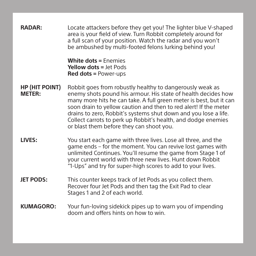| <b>RADAR:</b>                          | Locate attackers before they get you! The lighter blue V-shaped<br>area is your field of view. Turn Robbit completely around for<br>a full scan of your position. Watch the radar and you won't<br>be ambushed by multi-footed felons lurking behind you!                                                                                                                                                                                           |
|----------------------------------------|-----------------------------------------------------------------------------------------------------------------------------------------------------------------------------------------------------------------------------------------------------------------------------------------------------------------------------------------------------------------------------------------------------------------------------------------------------|
|                                        | <b>White dots = Enemies</b><br><b>Yellow dots = Jet Pods</b><br>$Red dots = Power-ups$                                                                                                                                                                                                                                                                                                                                                              |
| <b>HP (HIT POINT)</b><br><b>METER:</b> | Robbit goes from robustly healthy to dangerously weak as<br>enemy shots pound his armour. His state of health decides how<br>many more hits he can take. A full green meter is best, but it can<br>soon drain to yellow caution and then to red alert! If the meter<br>drains to zero, Robbit's systems shut down and you lose a life.<br>Collect carrots to perk up Robbit's health, and dodge enemies<br>or blast them before they can shoot you. |
| LIVES:                                 | You start each game with three lives. Lose all three, and the<br>game ends – for the moment. You can revive lost games with<br>unlimited Continues. You'll resume the game from Stage 1 of<br>your current world with three new lives. Hunt down Robbit<br>"1-Ups" and try for super-high scores to add to your lives.                                                                                                                              |
| <b>JET PODS:</b>                       | This counter keeps track of Jet Pods as you collect them.<br>Recover four Jet Pods and then tag the Exit Pad to clear<br>Stages 1 and 2 of each world.                                                                                                                                                                                                                                                                                              |
| <b>KUMAGORO:</b>                       | Your fun-loving sidekick pipes up to warn you of impending<br>doom and offers hints on how to win.                                                                                                                                                                                                                                                                                                                                                  |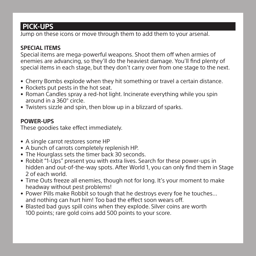# **PICK-UPS**

Jump on these icons or move through them to add them to your arsenal.

#### **SPECIAL ITEMS**

Special items are mega-powerful weapons. Shoot them off when armies of enemies are advancing, so they'll do the heaviest damage. You'll find plenty of special items in each stage, but they don't carry over from one stage to the next.

- Cherry Bombs explode when they hit something or travel a certain distance.
- Rockets put pests in the hot seat.
- Roman Candles spray a red-hot light. Incinerate everything while you spin around in a 360° circle.
- Twisters sizzle and spin, then blow up in a blizzard of sparks.

#### **POWER-UPS**

These goodies take effect immediately.

- A single carrot restores some HP
- A bunch of carrots completely replenish HP.
- The Hourglass sets the timer back 30 seconds.
- Robbit "1-Ups" present you with extra lives. Search for these power-ups in hidden and out-of-the-way spots. After World 1, you can only find them in Stage 2 of each world.
- Time Outs freeze all enemies, though not for long. It's your moment to make headway without pest problems!
- Power Pills make Robbit so tough that he destroys every foe he touches… and nothing can hurt him! Too bad the effect soon wears off.
- Blasted bad guys spill coins when they explode. Silver coins are worth 100 points; rare gold coins add 500 points to your score.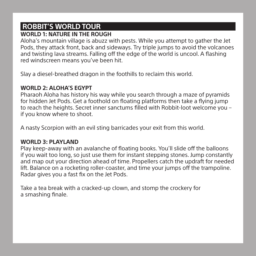# **ROBBIT'S WORLD TOUR**

#### **WORLD 1: NATURE IN THE ROUGH**

Aloha's mountain village is abuzz with pests. While you attempt to gather the Jet Pods, they attack front, back and sideways. Try triple jumps to avoid the volcanoes and twisting lava streams. Falling off the edge of the world is uncool. A flashing red windscreen means you've been hit.

Slay a diesel-breathed dragon in the foothills to reclaim this world.

#### **WORLD 2: ALOHA'S EGYPT**

Pharaoh Aloha has history his way while you search through a maze of pyramids for hidden Jet Pods. Get a foothold on floating platforms then take a flying jump to reach the heights. Secret inner sanctums filled with Robbit-loot welcome you – if you know where to shoot.

A nasty Scorpion with an evil sting barricades your exit from this world.

#### **WORLD 3: PLAYLAND**

Play keep-away with an avalanche of floating books. You'll slide off the balloons if you wait too long, so just use them for instant stepping stones. Jump constantly and map out your direction ahead of time. Propellers catch the updraft for needed lift. Balance on a rocketing roller-coaster, and time your jumps off the trampoline. Radar gives you a fast fix on the Jet Pods.

Take a tea break with a cracked-up clown, and stomp the crockery for a smashing finale.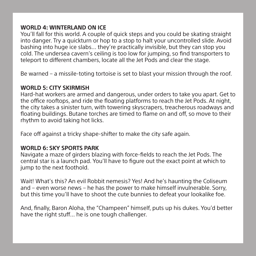#### **WORLD 4: WINTERLAND ON ICE**

You'll fall for this world. A couple of quick steps and you could be skating straight into danger. Try a quickturn or hop to a stop to halt your uncontrolled slide. Avoid bashing into huge ice slabs… they're practically invisible, but they can stop you cold. The undersea cavern's ceiling is too low for jumping, so find transporters to teleport to different chambers, locate all the Jet Pods and clear the stage.

Be warned – a missile-toting tortoise is set to blast your mission through the roof.

#### **WORLD 5: CITY SKIRMISH**

Hard-hat workers are armed and dangerous, under orders to take you apart. Get to the office rooftops, and ride the floating platforms to reach the Jet Pods. At night, the city takes a sinister turn, with towering skyscrapers, treacherous roadways and floating buildings. Butane torches are timed to flame on and off, so move to their rhythm to avoid taking hot licks.

Face off against a tricky shape-shifter to make the city safe again.

#### **WORLD 6: SKY SPORTS PARK**

Navigate a maze of girders blazing with force-fields to reach the Jet Pods. The central star is a launch pad. You'll have to figure out the exact point at which to jump to the next foothold.

Wait! What's this? An evil Robbit nemesis? Yes! And he's haunting the Coliseum and – even worse news – he has the power to make himself invulnerable. Sorry, but this time you'll have to shoot the cute bunnies to defeat your lookalike foe.

And, finally, Baron Aloha, the "Champeen" himself, puts up his dukes. You'd better have the right stuff... he is one tough challenger.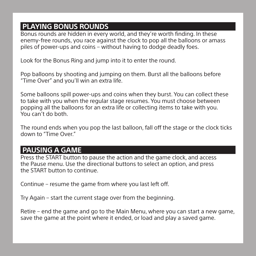## **PLAYING BONUS ROUNDS**

Bonus rounds are hidden in every world, and they're worth finding. In these enemy-free rounds, you race against the clock to pop all the balloons or amass piles of power-ups and coins – without having to dodge deadly foes.

Look for the Bonus Ring and jump into it to enter the round.

Pop balloons by shooting and jumping on them. Burst all the balloons before "Time Over" and you'll win an extra life.

Some balloons spill power-ups and coins when they burst. You can collect these to take with you when the regular stage resumes. You must choose between popping all the balloons for an extra life or collecting items to take with you. You can't do both.

The round ends when you pop the last balloon, fall off the stage or the clock ticks down to "Time Over."

# **PAUSING A GAME**

Press the START button to pause the action and the game clock, and access the Pause menu. Use the directional buttons to select an option, and press the START button to continue.

Continue – resume the game from where you last left off.

Try Again – start the current stage over from the beginning.

Retire – end the game and go to the Main Menu, where you can start a new game, save the game at the point where it ended, or load and play a saved game.